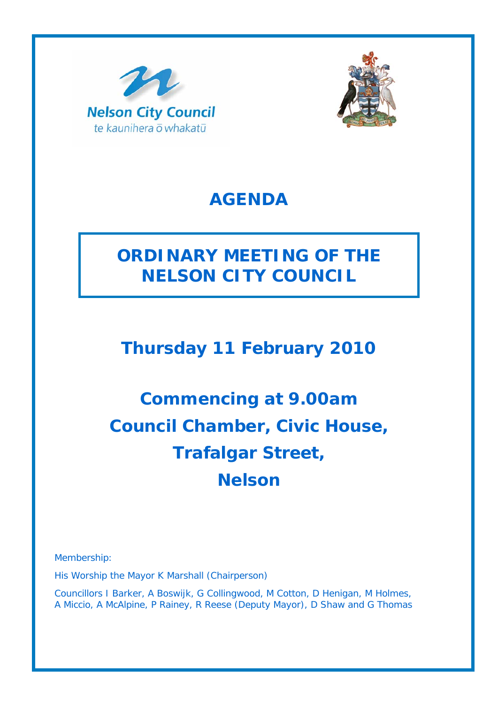



## **AGENDA**

# **ORDINARY MEETING OF THE NELSON CITY COUNCIL**

## **Thursday 11 February 2010**

# **Commencing at 9.00am Council Chamber, Civic House, Trafalgar Street, Nelson**

Membership:

His Worship the Mayor K Marshall (Chairperson)

Councillors I Barker, A Boswijk, G Collingwood, M Cotton, D Henigan, M Holmes, A Miccio, A McAlpine, P Rainey, R Reese (Deputy Mayor), D Shaw and G Thomas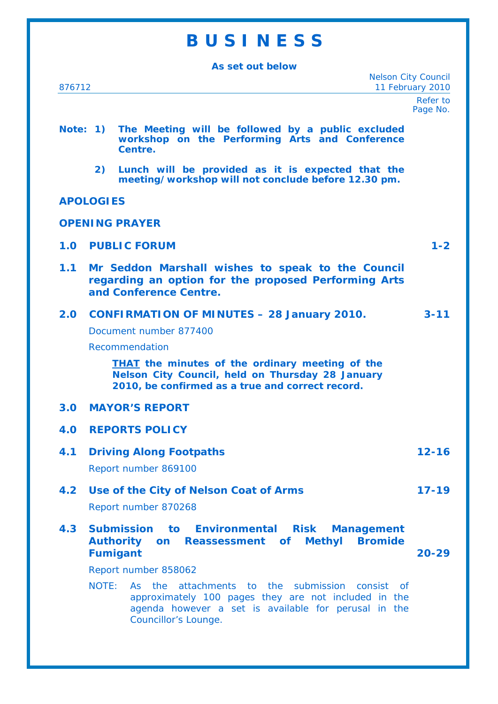## **B U S I N E S S**

**As set out below** 

Nelson City Council 876712 11 February 2010

> Refer to Page No.

#### **Note: 1) The Meeting will be followed by a public excluded workshop on the Performing Arts and Conference Centre.**

 **2) Lunch will be provided as it is expected that the meeting/workshop will not conclude before 12.30 pm.** 

#### **APOLOGIES**

**OPENING PRAYER** 

| <b>1.0 PUBLIC FORUM</b> |  |  |
|-------------------------|--|--|
|-------------------------|--|--|

**1.1 Mr Seddon Marshall wishes to speak to the Council regarding an option for the proposed Performing Arts and Conference Centre.** 

|  | 2.0 CONFIRMATION OF MINUTES - 28 January 2010.                                                                                                                                                                                                    | $3 - 11$ |
|--|---------------------------------------------------------------------------------------------------------------------------------------------------------------------------------------------------------------------------------------------------|----------|
|  | Document number 877400                                                                                                                                                                                                                            |          |
|  | Recommendation                                                                                                                                                                                                                                    |          |
|  | <b>THAT</b> the minutes of the ordinary meeting of the<br>$M_{\rm H}$ , and $M_{\rm H}$ , $\Delta$ , and $M_{\rm H}$ , $L_{\rm H}$ , $L_{\rm H}$ , and $T_{\rm H}$ , and $M_{\rm H}$ , and $\Delta \Delta$ , $L_{\rm H}$ , and $\Delta L_{\rm H}$ |          |

*Nelson City Council, held on Thursday 28 January 2010, be confirmed as a true and correct record.* 

#### **3.0 MAYOR'S REPORT**

- **4.0 REPORTS POLICY**
- **4.1 Driving Along Footpaths 12-16**  Report number 869100
- **4.2 Use of the City of Nelson Coat of Arms 17-19**

Report number 870268

**4.3 Submission to Environmental Risk Management Authority on Reassessment of Methyl Bromide Fumigant 20-29** 

Report number 858062

NOTE: As the attachments to the submission consist of approximately 100 pages they are not included in the agenda however a set is available for perusal in the Councillor's Lounge.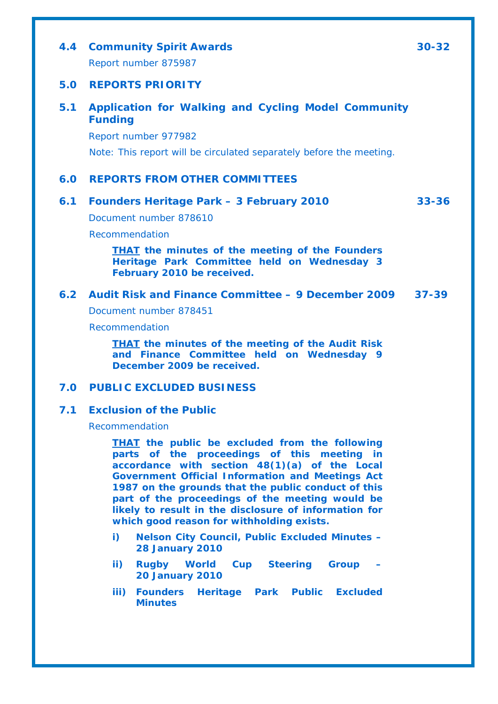## **4.4 Community Spirit Awards 30-32**  Report number 875987 **5.0 REPORTS PRIORITY 5.1 Application for Walking and Cycling Model Community Funding**  Report number 977982 Note: This report will be circulated separately before the meeting. **6.0 REPORTS FROM OTHER COMMITTEES 6.1 Founders Heritage Park – 3 February 2010 33-36**  Document number 878610 Recommendation *THAT the minutes of the meeting of the Founders Heritage Park Committee held on Wednesday 3*

#### **6.2 Audit Risk and Finance Committee – 9 December 2009 37-39**

Document number 878451

*February 2010 be received.* 

Recommendation

*THAT the minutes of the meeting of the Audit Risk and Finance Committee held on Wednesday 9 December 2009 be received.* 

#### **7.0 PUBLIC EXCLUDED BUSINESS**

#### **7.1 Exclusion of the Public**

Recommendation

*THAT the public be excluded from the following parts of the proceedings of this meeting in accordance with section 48(1)(a) of the Local Government Official Information and Meetings Act 1987 on the grounds that the public conduct of this part of the proceedings of the meeting would be likely to result in the disclosure of information for which good reason for withholding exists.* 

- *i) Nelson City Council, Public Excluded Minutes 28 January 2010*
- *ii*) **Rugby World Cup Steering Group** *20 January 2010*
- *iii) Founders Heritage Park Public Excluded Minutes*